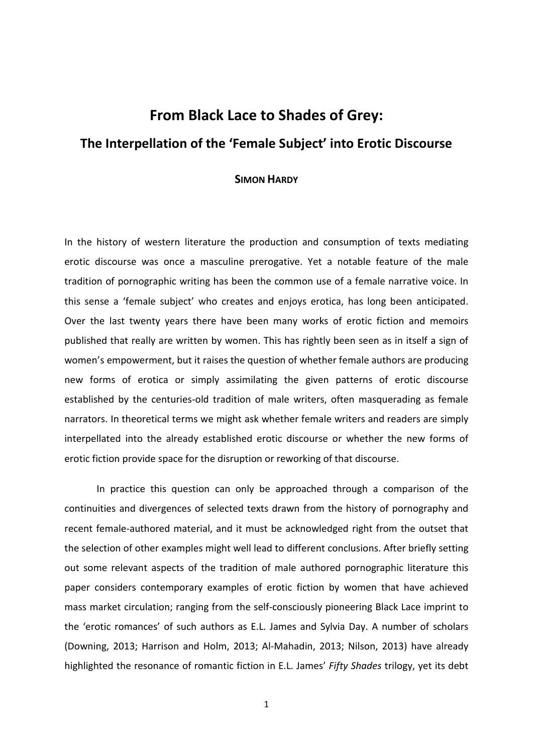# **From Black Lace to Shades of Grey: The Interpellation of the 'Female Subject' into Erotic Discourse**

# **SIMON HARDY**

In the history of western literature the production and consumption of texts mediating erotic discourse was once a masculine prerogative. Yet a notable feature of the male tradition of pornographic writing has been the common use of a female narrative voice. In this sense a 'female subject' who creates and enjoys erotica, has long been anticipated. Over the last twenty years there have been many works of erotic fiction and memoirs published that really are written by women. This has rightly been seen as in itself a sign of women's empowerment, but it raises the question of whether female authors are producing new forms of erotica or simply assimilating the given patterns of erotic discourse established by the centuries-old tradition of male writers, often masquerading as female narrators. In theoretical terms we might ask whether female writers and readers are simply interpellated into the already established erotic discourse or whether the new forms of erotic fiction provide space for the disruption or reworking of that discourse.

In practice this question can only be approached through a comparison of the continuities and divergences of selected texts drawn from the history of pornography and recent female-authored material, and it must be acknowledged right from the outset that the selection of other examples might well lead to different conclusions. After briefly setting out some relevant aspects of the tradition of male authored pornographic literature this paper considers contemporary examples of erotic fiction by women that have achieved mass market circulation; ranging from the self-consciously pioneering Black Lace imprint to the 'erotic romances' of such authors as E.L. James and Sylvia Day. A number of scholars (Downing, 2013; Harrison and Holm, 2013; Al-Mahadin, 2013; Nilson, 2013) have already highlighted the resonance of romantic fiction in E.L. James' *Fifty Shades* trilogy, yet its debt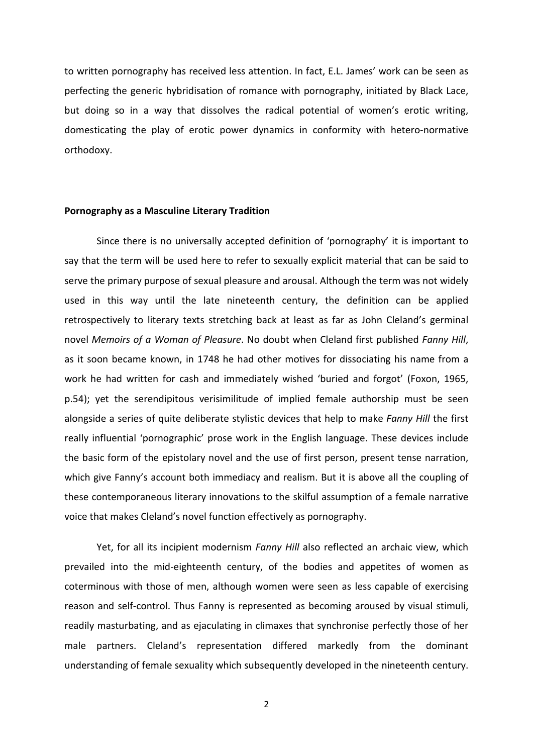to written pornography has received less attention. In fact, E.L. James' work can be seen as perfecting the generic hybridisation of romance with pornography, initiated by Black Lace, but doing so in a way that dissolves the radical potential of women's erotic writing, domesticating the play of erotic power dynamics in conformity with hetero-normative orthodoxy.

## **Pornography as a Masculine Literary Tradition**

Since there is no universally accepted definition of 'pornography' it is important to say that the term will be used here to refer to sexually explicit material that can be said to serve the primary purpose of sexual pleasure and arousal. Although the term was not widely used in this way until the late nineteenth century, the definition can be applied retrospectively to literary texts stretching back at least as far as John Cleland's germinal novel *Memoirs of a Woman of Pleasure*. No doubt when Cleland first published *Fanny Hill*, as it soon became known, in 1748 he had other motives for dissociating his name from a work he had written for cash and immediately wished 'buried and forgot' (Foxon, 1965, p.54); yet the serendipitous verisimilitude of implied female authorship must be seen alongside a series of quite deliberate stylistic devices that help to make *Fanny Hill* the first really influential 'pornographic' prose work in the English language. These devices include the basic form of the epistolary novel and the use of first person, present tense narration, which give Fanny's account both immediacy and realism. But it is above all the coupling of these contemporaneous literary innovations to the skilful assumption of a female narrative voice that makes Cleland's novel function effectively as pornography.

Yet, for all its incipient modernism *Fanny Hill* also reflected an archaic view, which prevailed into the mid-eighteenth century, of the bodies and appetites of women as coterminous with those of men, although women were seen as less capable of exercising reason and self-control. Thus Fanny is represented as becoming aroused by visual stimuli, readily masturbating, and as ejaculating in climaxes that synchronise perfectly those of her male partners. Cleland's representation differed markedly from the dominant understanding of female sexuality which subsequently developed in the nineteenth century.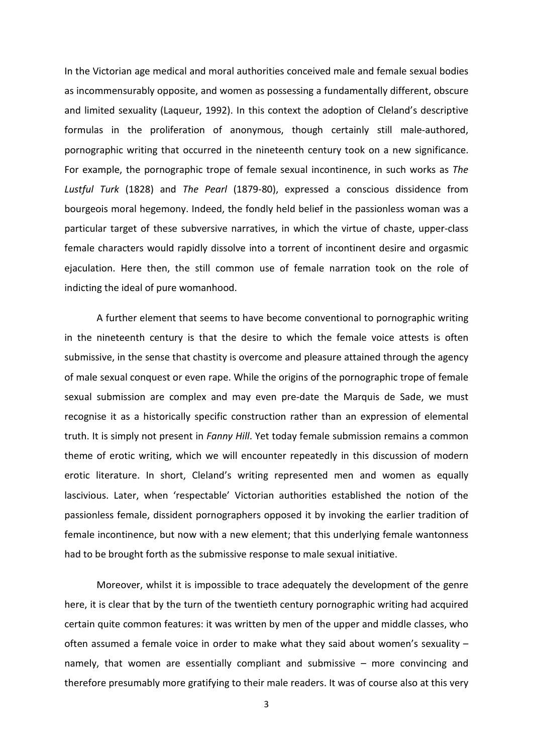In the Victorian age medical and moral authorities conceived male and female sexual bodies as incommensurably opposite, and women as possessing a fundamentally different, obscure and limited sexuality (Laqueur, 1992). In this context the adoption of Cleland's descriptive formulas in the proliferation of anonymous, though certainly still male-authored, pornographic writing that occurred in the nineteenth century took on a new significance. For example, the pornographic trope of female sexual incontinence, in such works as *The Lustful Turk* (1828) and *The Pearl* (1879-80), expressed a conscious dissidence from bourgeois moral hegemony. Indeed, the fondly held belief in the passionless woman was a particular target of these subversive narratives, in which the virtue of chaste, upper-class female characters would rapidly dissolve into a torrent of incontinent desire and orgasmic ejaculation. Here then, the still common use of female narration took on the role of indicting the ideal of pure womanhood.

A further element that seems to have become conventional to pornographic writing in the nineteenth century is that the desire to which the female voice attests is often submissive, in the sense that chastity is overcome and pleasure attained through the agency of male sexual conquest or even rape. While the origins of the pornographic trope of female sexual submission are complex and may even pre-date the Marquis de Sade, we must recognise it as a historically specific construction rather than an expression of elemental truth. It is simply not present in *Fanny Hill*. Yet today female submission remains a common theme of erotic writing, which we will encounter repeatedly in this discussion of modern erotic literature. In short, Cleland's writing represented men and women as equally lascivious. Later, when 'respectable' Victorian authorities established the notion of the passionless female, dissident pornographers opposed it by invoking the earlier tradition of female incontinence, but now with a new element; that this underlying female wantonness had to be brought forth as the submissive response to male sexual initiative.

Moreover, whilst it is impossible to trace adequately the development of the genre here, it is clear that by the turn of the twentieth century pornographic writing had acquired certain quite common features: it was written by men of the upper and middle classes, who often assumed a female voice in order to make what they said about women's sexuality – namely, that women are essentially compliant and submissive – more convincing and therefore presumably more gratifying to their male readers. It was of course also at this very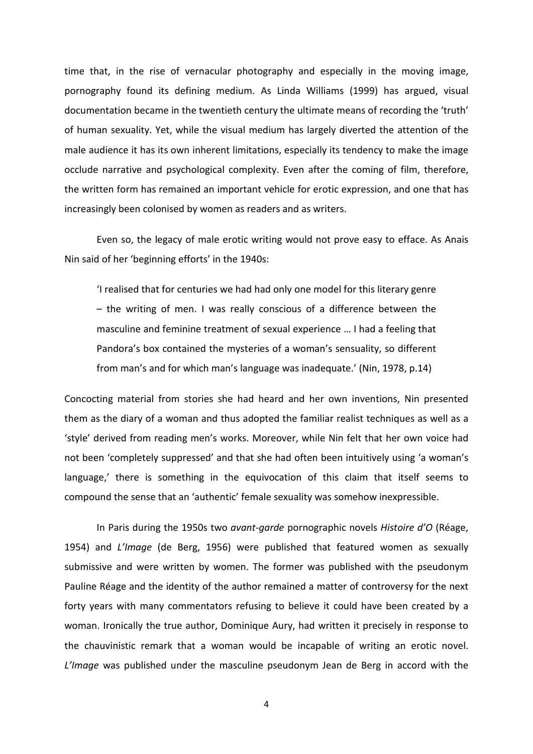time that, in the rise of vernacular photography and especially in the moving image, pornography found its defining medium. As Linda Williams (1999) has argued, visual documentation became in the twentieth century the ultimate means of recording the 'truth' of human sexuality. Yet, while the visual medium has largely diverted the attention of the male audience it has its own inherent limitations, especially its tendency to make the image occlude narrative and psychological complexity. Even after the coming of film, therefore, the written form has remained an important vehicle for erotic expression, and one that has increasingly been colonised by women as readers and as writers.

Even so, the legacy of male erotic writing would not prove easy to efface. As Anais Nin said of her 'beginning efforts' in the 1940s:

'I realised that for centuries we had had only one model for this literary genre – the writing of men. I was really conscious of a difference between the masculine and feminine treatment of sexual experience … I had a feeling that Pandora's box contained the mysteries of a woman's sensuality, so different from man's and for which man's language was inadequate.' (Nin, 1978, p.14)

Concocting material from stories she had heard and her own inventions, Nin presented them as the diary of a woman and thus adopted the familiar realist techniques as well as a 'style' derived from reading men's works. Moreover, while Nin felt that her own voice had not been 'completely suppressed' and that she had often been intuitively using 'a woman's language,' there is something in the equivocation of this claim that itself seems to compound the sense that an 'authentic' female sexuality was somehow inexpressible.

In Paris during the 1950s two *avant-garde* pornographic novels *Histoire d'O* (Réage, 1954) and *L'Image* (de Berg, 1956) were published that featured women as sexually submissive and were written by women. The former was published with the pseudonym Pauline Réage and the identity of the author remained a matter of controversy for the next forty years with many commentators refusing to believe it could have been created by a woman. Ironically the true author, Dominique Aury, had written it precisely in response to the chauvinistic remark that a woman would be incapable of writing an erotic novel. *L'Image* was published under the masculine pseudonym Jean de Berg in accord with the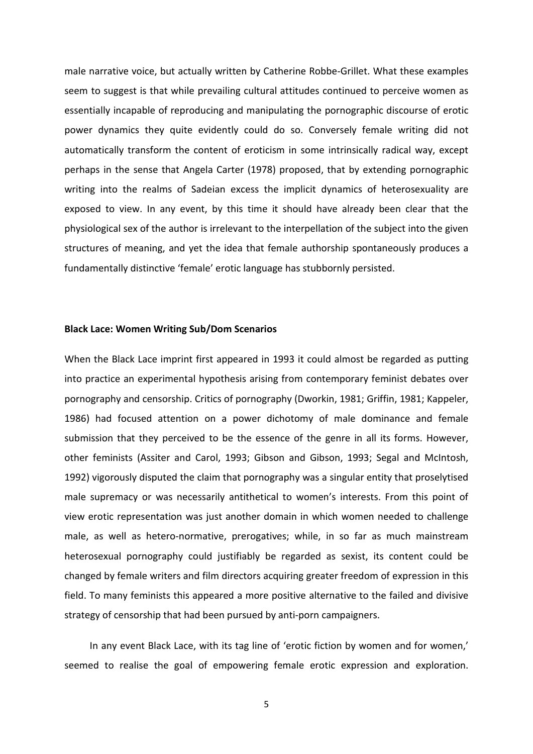male narrative voice, but actually written by Catherine Robbe-Grillet. What these examples seem to suggest is that while prevailing cultural attitudes continued to perceive women as essentially incapable of reproducing and manipulating the pornographic discourse of erotic power dynamics they quite evidently could do so. Conversely female writing did not automatically transform the content of eroticism in some intrinsically radical way, except perhaps in the sense that Angela Carter (1978) proposed, that by extending pornographic writing into the realms of Sadeian excess the implicit dynamics of heterosexuality are exposed to view. In any event, by this time it should have already been clear that the physiological sex of the author is irrelevant to the interpellation of the subject into the given structures of meaning, and yet the idea that female authorship spontaneously produces a fundamentally distinctive 'female' erotic language has stubbornly persisted.

# **Black Lace: Women Writing Sub/Dom Scenarios**

When the Black Lace imprint first appeared in 1993 it could almost be regarded as putting into practice an experimental hypothesis arising from contemporary feminist debates over pornography and censorship. Critics of pornography (Dworkin, 1981; Griffin, 1981; Kappeler, 1986) had focused attention on a power dichotomy of male dominance and female submission that they perceived to be the essence of the genre in all its forms. However, other feminists (Assiter and Carol, 1993; Gibson and Gibson, 1993; Segal and McIntosh, 1992) vigorously disputed the claim that pornography was a singular entity that proselytised male supremacy or was necessarily antithetical to women's interests. From this point of view erotic representation was just another domain in which women needed to challenge male, as well as hetero-normative, prerogatives; while, in so far as much mainstream heterosexual pornography could justifiably be regarded as sexist, its content could be changed by female writers and film directors acquiring greater freedom of expression in this field. To many feminists this appeared a more positive alternative to the failed and divisive strategy of censorship that had been pursued by anti-porn campaigners.

In any event Black Lace, with its tag line of 'erotic fiction by women and for women,' seemed to realise the goal of empowering female erotic expression and exploration.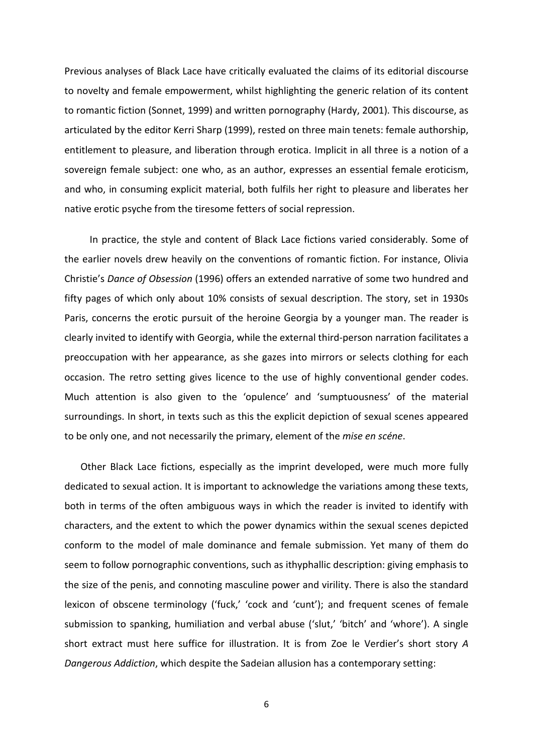Previous analyses of Black Lace have critically evaluated the claims of its editorial discourse to novelty and female empowerment, whilst highlighting the generic relation of its content to romantic fiction (Sonnet, 1999) and written pornography (Hardy, 2001). This discourse, as articulated by the editor Kerri Sharp (1999), rested on three main tenets: female authorship, entitlement to pleasure, and liberation through erotica. Implicit in all three is a notion of a sovereign female subject: one who, as an author, expresses an essential female eroticism, and who, in consuming explicit material, both fulfils her right to pleasure and liberates her native erotic psyche from the tiresome fetters of social repression.

In practice, the style and content of Black Lace fictions varied considerably. Some of the earlier novels drew heavily on the conventions of romantic fiction. For instance, Olivia Christie's *Dance of Obsession* (1996) offers an extended narrative of some two hundred and fifty pages of which only about 10% consists of sexual description. The story, set in 1930s Paris, concerns the erotic pursuit of the heroine Georgia by a younger man. The reader is clearly invited to identify with Georgia, while the external third-person narration facilitates a preoccupation with her appearance, as she gazes into mirrors or selects clothing for each occasion. The retro setting gives licence to the use of highly conventional gender codes. Much attention is also given to the 'opulence' and 'sumptuousness' of the material surroundings. In short, in texts such as this the explicit depiction of sexual scenes appeared to be only one, and not necessarily the primary, element of the *mise en scéne*.

Other Black Lace fictions, especially as the imprint developed, were much more fully dedicated to sexual action. It is important to acknowledge the variations among these texts, both in terms of the often ambiguous ways in which the reader is invited to identify with characters, and the extent to which the power dynamics within the sexual scenes depicted conform to the model of male dominance and female submission. Yet many of them do seem to follow pornographic conventions, such as ithyphallic description: giving emphasis to the size of the penis, and connoting masculine power and virility. There is also the standard lexicon of obscene terminology ('fuck,' 'cock and 'cunt'); and frequent scenes of female submission to spanking, humiliation and verbal abuse ('slut,' 'bitch' and 'whore'). A single short extract must here suffice for illustration. It is from Zoe le Verdier's short story *A Dangerous Addiction*, which despite the Sadeian allusion has a contemporary setting: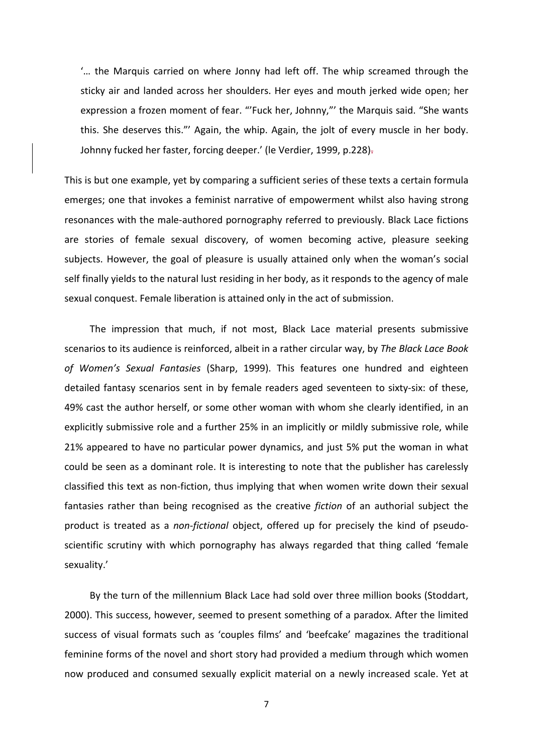'… the Marquis carried on where Jonny had left off. The whip screamed through the sticky air and landed across her shoulders. Her eyes and mouth jerked wide open; her expression a frozen moment of fear. "'Fuck her, Johnny,"' the Marquis said. "She wants this. She deserves this."' Again, the whip. Again, the jolt of every muscle in her body. Johnny fucked her faster, forcing deeper.' (le Verdier, 1999, p.228).

This is but one example, yet by comparing a sufficient series of these texts a certain formula emerges; one that invokes a feminist narrative of empowerment whilst also having strong resonances with the male-authored pornography referred to previously. Black Lace fictions are stories of female sexual discovery, of women becoming active, pleasure seeking subjects. However, the goal of pleasure is usually attained only when the woman's social self finally yields to the natural lust residing in her body, as it responds to the agency of male sexual conquest. Female liberation is attained only in the act of submission.

The impression that much, if not most, Black Lace material presents submissive scenarios to its audience is reinforced, albeit in a rather circular way, by *The Black Lace Book of Women's Sexual Fantasies* (Sharp, 1999). This features one hundred and eighteen detailed fantasy scenarios sent in by female readers aged seventeen to sixty-six: of these, 49% cast the author herself, or some other woman with whom she clearly identified, in an explicitly submissive role and a further 25% in an implicitly or mildly submissive role, while 21% appeared to have no particular power dynamics, and just 5% put the woman in what could be seen as a dominant role. It is interesting to note that the publisher has carelessly classified this text as non-fiction, thus implying that when women write down their sexual fantasies rather than being recognised as the creative *fiction* of an authorial subject the product is treated as a *non-fictional* object, offered up for precisely the kind of pseudoscientific scrutiny with which pornography has always regarded that thing called 'female sexuality.'

By the turn of the millennium Black Lace had sold over three million books (Stoddart, 2000). This success, however, seemed to present something of a paradox. After the limited success of visual formats such as 'couples films' and 'beefcake' magazines the traditional feminine forms of the novel and short story had provided a medium through which women now produced and consumed sexually explicit material on a newly increased scale. Yet at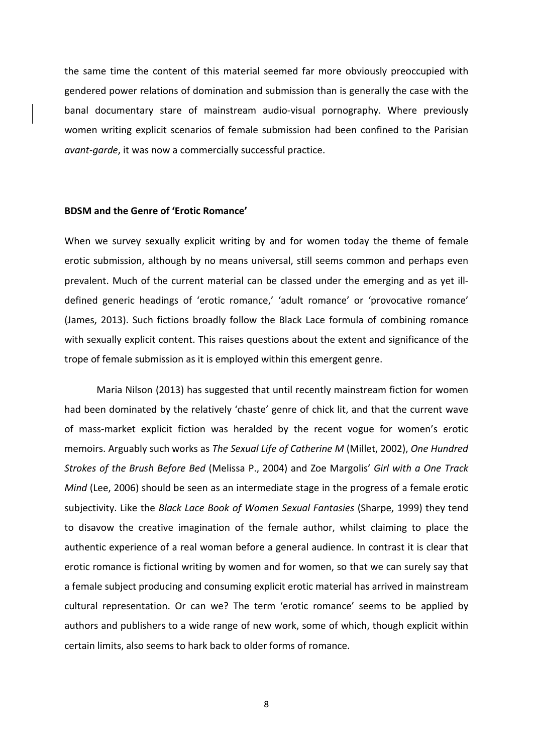the same time the content of this material seemed far more obviously preoccupied with gendered power relations of domination and submission than is generally the case with the banal documentary stare of mainstream audio-visual pornography. Where previously women writing explicit scenarios of female submission had been confined to the Parisian *avant-garde*, it was now a commercially successful practice.

#### **BDSM and the Genre of 'Erotic Romance'**

When we survey sexually explicit writing by and for women today the theme of female erotic submission, although by no means universal, still seems common and perhaps even prevalent. Much of the current material can be classed under the emerging and as yet illdefined generic headings of 'erotic romance,' 'adult romance' or 'provocative romance' (James, 2013). Such fictions broadly follow the Black Lace formula of combining romance with sexually explicit content. This raises questions about the extent and significance of the trope of female submission as it is employed within this emergent genre.

Maria Nilson (2013) has suggested that until recently mainstream fiction for women had been dominated by the relatively 'chaste' genre of chick lit, and that the current wave of mass-market explicit fiction was heralded by the recent vogue for women's erotic memoirs. Arguably such works as *The Sexual Life of Catherine M* (Millet, 2002), *One Hundred Strokes of the Brush Before Bed* (Melissa P., 2004) and Zoe Margolis' *Girl with a One Track Mind* (Lee, 2006) should be seen as an intermediate stage in the progress of a female erotic subjectivity. Like the *Black Lace Book of Women Sexual Fantasies* (Sharpe, 1999) they tend to disavow the creative imagination of the female author, whilst claiming to place the authentic experience of a real woman before a general audience. In contrast it is clear that erotic romance is fictional writing by women and for women, so that we can surely say that a female subject producing and consuming explicit erotic material has arrived in mainstream cultural representation. Or can we? The term 'erotic romance' seems to be applied by authors and publishers to a wide range of new work, some of which, though explicit within certain limits, also seems to hark back to older forms of romance.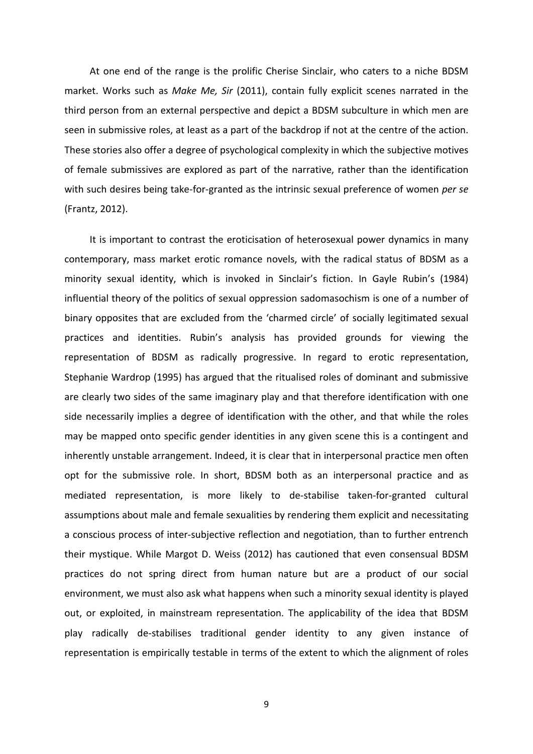At one end of the range is the prolific Cherise Sinclair, who caters to a niche BDSM market. Works such as *Make Me, Sir* (2011), contain fully explicit scenes narrated in the third person from an external perspective and depict a BDSM subculture in which men are seen in submissive roles, at least as a part of the backdrop if not at the centre of the action. These stories also offer a degree of psychological complexity in which the subjective motives of female submissives are explored as part of the narrative, rather than the identification with such desires being take-for-granted as the intrinsic sexual preference of women *per se* (Frantz, 2012).

It is important to contrast the eroticisation of heterosexual power dynamics in many contemporary, mass market erotic romance novels, with the radical status of BDSM as a minority sexual identity, which is invoked in Sinclair's fiction. In Gayle Rubin's (1984) influential theory of the politics of sexual oppression sadomasochism is one of a number of binary opposites that are excluded from the 'charmed circle' of socially legitimated sexual practices and identities. Rubin's analysis has provided grounds for viewing the representation of BDSM as radically progressive. In regard to erotic representation, Stephanie Wardrop (1995) has argued that the ritualised roles of dominant and submissive are clearly two sides of the same imaginary play and that therefore identification with one side necessarily implies a degree of identification with the other, and that while the roles may be mapped onto specific gender identities in any given scene this is a contingent and inherently unstable arrangement. Indeed, it is clear that in interpersonal practice men often opt for the submissive role. In short, BDSM both as an interpersonal practice and as mediated representation, is more likely to de-stabilise taken-for-granted cultural assumptions about male and female sexualities by rendering them explicit and necessitating a conscious process of inter-subjective reflection and negotiation, than to further entrench their mystique. While Margot D. Weiss (2012) has cautioned that even consensual BDSM practices do not spring direct from human nature but are a product of our social environment, we must also ask what happens when such a minority sexual identity is played out, or exploited, in mainstream representation. The applicability of the idea that BDSM play radically de-stabilises traditional gender identity to any given instance of representation is empirically testable in terms of the extent to which the alignment of roles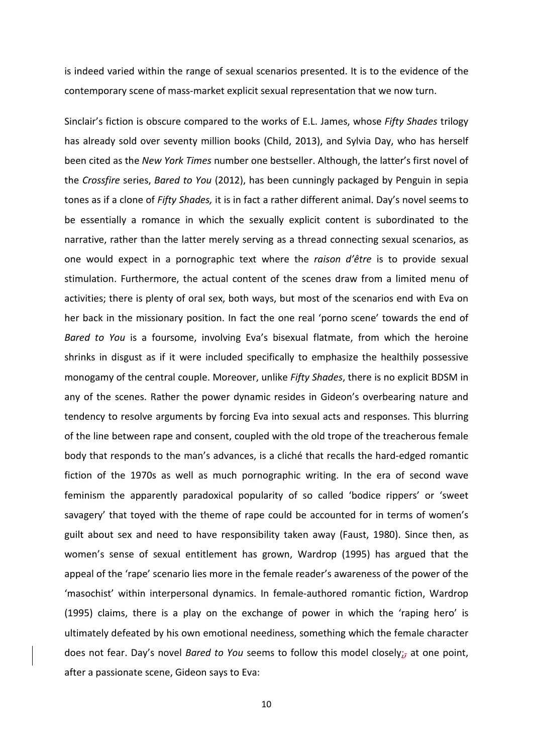is indeed varied within the range of sexual scenarios presented. It is to the evidence of the contemporary scene of mass-market explicit sexual representation that we now turn.

Sinclair's fiction is obscure compared to the works of E.L. James, whose *Fifty Shades* trilogy has already sold over seventy million books (Child, 2013), and Sylvia Day, who has herself been cited as the *New York Times* number one bestseller. Although, the latter's first novel of the *Crossfire* series, *Bared to You* (2012), has been cunningly packaged by Penguin in sepia tones as if a clone of *Fifty Shades,* it is in fact a rather different animal. Day's novel seems to be essentially a romance in which the sexually explicit content is subordinated to the narrative, rather than the latter merely serving as a thread connecting sexual scenarios, as one would expect in a pornographic text where the *raison d'être* is to provide sexual stimulation. Furthermore, the actual content of the scenes draw from a limited menu of activities; there is plenty of oral sex, both ways, but most of the scenarios end with Eva on her back in the missionary position. In fact the one real 'porno scene' towards the end of *Bared to You* is a foursome, involving Eva's bisexual flatmate, from which the heroine shrinks in disgust as if it were included specifically to emphasize the healthily possessive monogamy of the central couple. Moreover, unlike *Fifty Shades*, there is no explicit BDSM in any of the scenes. Rather the power dynamic resides in Gideon's overbearing nature and tendency to resolve arguments by forcing Eva into sexual acts and responses. This blurring of the line between rape and consent, coupled with the old trope of the treacherous female body that responds to the man's advances, is a cliché that recalls the hard-edged romantic fiction of the 1970s as well as much pornographic writing. In the era of second wave feminism the apparently paradoxical popularity of so called 'bodice rippers' or 'sweet savagery' that toyed with the theme of rape could be accounted for in terms of women's guilt about sex and need to have responsibility taken away (Faust, 1980). Since then, as women's sense of sexual entitlement has grown, Wardrop (1995) has argued that the appeal of the 'rape' scenario lies more in the female reader's awareness of the power of the 'masochist' within interpersonal dynamics. In female-authored romantic fiction, Wardrop (1995) claims, there is a play on the exchange of power in which the 'raping hero' is ultimately defeated by his own emotional neediness, something which the female character does not fear. Day's novel *Bared to You* seems to follow this model closely;, at one point, after a passionate scene, Gideon says to Eva: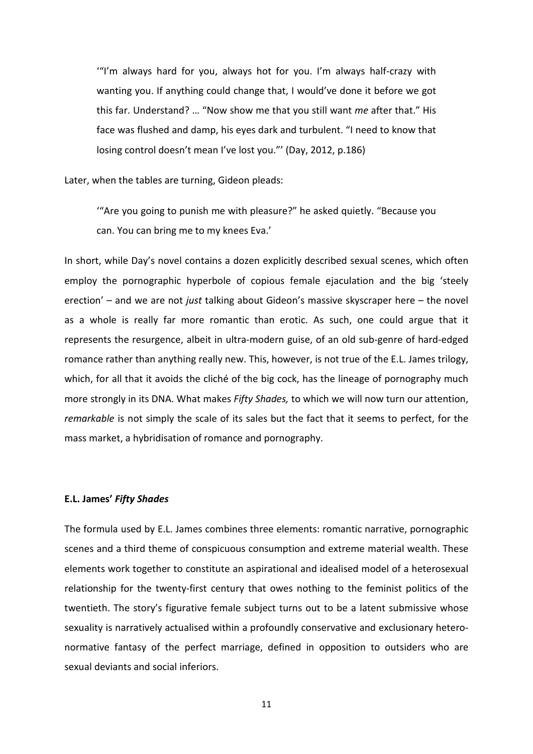'"I'm always hard for you, always hot for you. I'm always half-crazy with wanting you. If anything could change that, I would've done it before we got this far. Understand? … "Now show me that you still want *me* after that." His face was flushed and damp, his eyes dark and turbulent. "I need to know that losing control doesn't mean I've lost you."' (Day, 2012, p.186)

Later, when the tables are turning, Gideon pleads:

'"Are you going to punish me with pleasure?" he asked quietly. "Because you can. You can bring me to my knees Eva.'

In short, while Day's novel contains a dozen explicitly described sexual scenes, which often employ the pornographic hyperbole of copious female ejaculation and the big 'steely erection' – and we are not *just* talking about Gideon's massive skyscraper here – the novel as a whole is really far more romantic than erotic. As such, one could argue that it represents the resurgence, albeit in ultra-modern guise, of an old sub-genre of hard-edged romance rather than anything really new. This, however, is not true of the E.L. James trilogy, which, for all that it avoids the cliché of the big cock, has the lineage of pornography much more strongly in its DNA. What makes *Fifty Shades,* to which we will now turn our attention, *remarkable* is not simply the scale of its sales but the fact that it seems to perfect, for the mass market, a hybridisation of romance and pornography.

# **E.L. James'** *Fifty Shades*

The formula used by E.L. James combines three elements: romantic narrative, pornographic scenes and a third theme of conspicuous consumption and extreme material wealth. These elements work together to constitute an aspirational and idealised model of a heterosexual relationship for the twenty-first century that owes nothing to the feminist politics of the twentieth. The story's figurative female subject turns out to be a latent submissive whose sexuality is narratively actualised within a profoundly conservative and exclusionary heteronormative fantasy of the perfect marriage, defined in opposition to outsiders who are sexual deviants and social inferiors.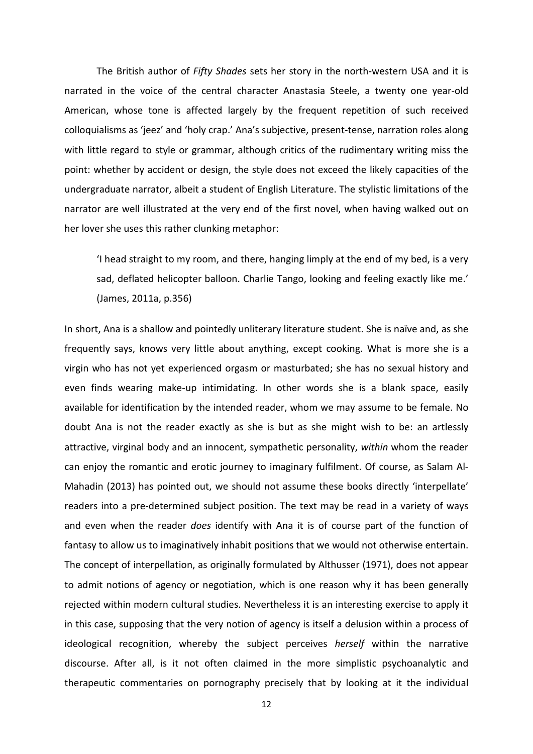The British author of *Fifty Shades* sets her story in the north-western USA and it is narrated in the voice of the central character Anastasia Steele, a twenty one year-old American, whose tone is affected largely by the frequent repetition of such received colloquialisms as 'jeez' and 'holy crap.' Ana's subjective, present-tense, narration roles along with little regard to style or grammar, although critics of the rudimentary writing miss the point: whether by accident or design, the style does not exceed the likely capacities of the undergraduate narrator, albeit a student of English Literature. The stylistic limitations of the narrator are well illustrated at the very end of the first novel, when having walked out on her lover she uses this rather clunking metaphor:

'I head straight to my room, and there, hanging limply at the end of my bed, is a very sad, deflated helicopter balloon. Charlie Tango, looking and feeling exactly like me.' (James, 2011a, p.356)

In short, Ana is a shallow and pointedly unliterary literature student. She is naïve and, as she frequently says, knows very little about anything, except cooking. What is more she is a virgin who has not yet experienced orgasm or masturbated; she has no sexual history and even finds wearing make-up intimidating. In other words she is a blank space, easily available for identification by the intended reader, whom we may assume to be female. No doubt Ana is not the reader exactly as she is but as she might wish to be: an artlessly attractive, virginal body and an innocent, sympathetic personality, *within* whom the reader can enjoy the romantic and erotic journey to imaginary fulfilment. Of course, as Salam Al-Mahadin (2013) has pointed out, we should not assume these books directly 'interpellate' readers into a pre-determined subject position. The text may be read in a variety of ways and even when the reader *does* identify with Ana it is of course part of the function of fantasy to allow us to imaginatively inhabit positions that we would not otherwise entertain. The concept of interpellation, as originally formulated by Althusser (1971), does not appear to admit notions of agency or negotiation, which is one reason why it has been generally rejected within modern cultural studies. Nevertheless it is an interesting exercise to apply it in this case, supposing that the very notion of agency is itself a delusion within a process of ideological recognition, whereby the subject perceives *herself* within the narrative discourse. After all, is it not often claimed in the more simplistic psychoanalytic and therapeutic commentaries on pornography precisely that by looking at it the individual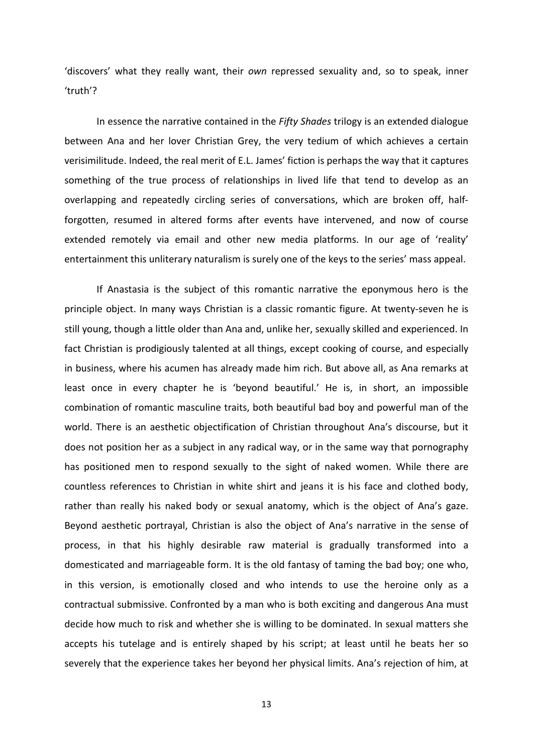'discovers' what they really want, their *own* repressed sexuality and, so to speak, inner 'truth'?

In essence the narrative contained in the *Fifty Shades* trilogy is an extended dialogue between Ana and her lover Christian Grey, the very tedium of which achieves a certain verisimilitude. Indeed, the real merit of E.L. James' fiction is perhaps the way that it captures something of the true process of relationships in lived life that tend to develop as an overlapping and repeatedly circling series of conversations, which are broken off, halfforgotten, resumed in altered forms after events have intervened, and now of course extended remotely via email and other new media platforms. In our age of 'reality' entertainment this unliterary naturalism is surely one of the keys to the series' mass appeal.

If Anastasia is the subject of this romantic narrative the eponymous hero is the principle object. In many ways Christian is a classic romantic figure. At twenty-seven he is still young, though a little older than Ana and, unlike her, sexually skilled and experienced. In fact Christian is prodigiously talented at all things, except cooking of course, and especially in business, where his acumen has already made him rich. But above all, as Ana remarks at least once in every chapter he is 'beyond beautiful.' He is, in short, an impossible combination of romantic masculine traits, both beautiful bad boy and powerful man of the world. There is an aesthetic objectification of Christian throughout Ana's discourse, but it does not position her as a subject in any radical way, or in the same way that pornography has positioned men to respond sexually to the sight of naked women. While there are countless references to Christian in white shirt and jeans it is his face and clothed body, rather than really his naked body or sexual anatomy, which is the object of Ana's gaze. Beyond aesthetic portrayal, Christian is also the object of Ana's narrative in the sense of process, in that his highly desirable raw material is gradually transformed into a domesticated and marriageable form. It is the old fantasy of taming the bad boy; one who, in this version, is emotionally closed and who intends to use the heroine only as a contractual submissive. Confronted by a man who is both exciting and dangerous Ana must decide how much to risk and whether she is willing to be dominated. In sexual matters she accepts his tutelage and is entirely shaped by his script; at least until he beats her so severely that the experience takes her beyond her physical limits. Ana's rejection of him, at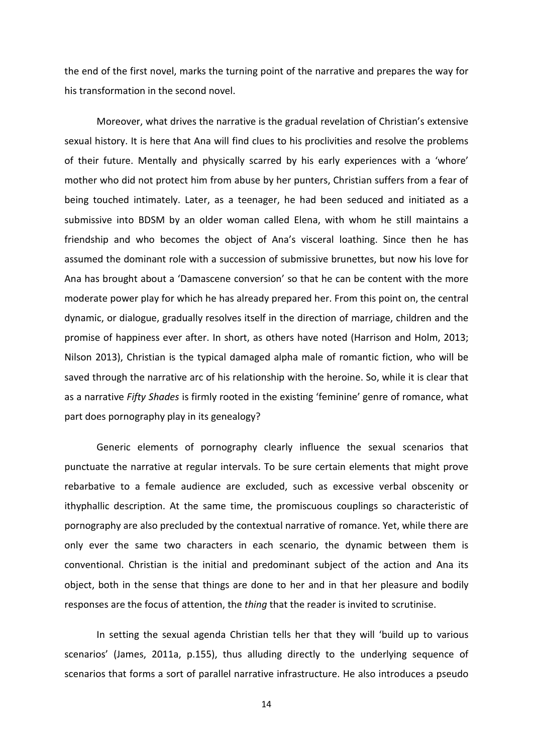the end of the first novel, marks the turning point of the narrative and prepares the way for his transformation in the second novel.

Moreover, what drives the narrative is the gradual revelation of Christian's extensive sexual history. It is here that Ana will find clues to his proclivities and resolve the problems of their future. Mentally and physically scarred by his early experiences with a 'whore' mother who did not protect him from abuse by her punters, Christian suffers from a fear of being touched intimately. Later, as a teenager, he had been seduced and initiated as a submissive into BDSM by an older woman called Elena, with whom he still maintains a friendship and who becomes the object of Ana's visceral loathing. Since then he has assumed the dominant role with a succession of submissive brunettes, but now his love for Ana has brought about a 'Damascene conversion' so that he can be content with the more moderate power play for which he has already prepared her. From this point on, the central dynamic, or dialogue, gradually resolves itself in the direction of marriage, children and the promise of happiness ever after. In short, as others have noted (Harrison and Holm, 2013; Nilson 2013), Christian is the typical damaged alpha male of romantic fiction, who will be saved through the narrative arc of his relationship with the heroine. So, while it is clear that as a narrative *Fifty Shades* is firmly rooted in the existing 'feminine' genre of romance, what part does pornography play in its genealogy?

Generic elements of pornography clearly influence the sexual scenarios that punctuate the narrative at regular intervals. To be sure certain elements that might prove rebarbative to a female audience are excluded, such as excessive verbal obscenity or ithyphallic description. At the same time, the promiscuous couplings so characteristic of pornography are also precluded by the contextual narrative of romance. Yet, while there are only ever the same two characters in each scenario, the dynamic between them is conventional. Christian is the initial and predominant subject of the action and Ana its object, both in the sense that things are done to her and in that her pleasure and bodily responses are the focus of attention, the *thing* that the reader is invited to scrutinise.

In setting the sexual agenda Christian tells her that they will 'build up to various scenarios' (James, 2011a, p.155), thus alluding directly to the underlying sequence of scenarios that forms a sort of parallel narrative infrastructure. He also introduces a pseudo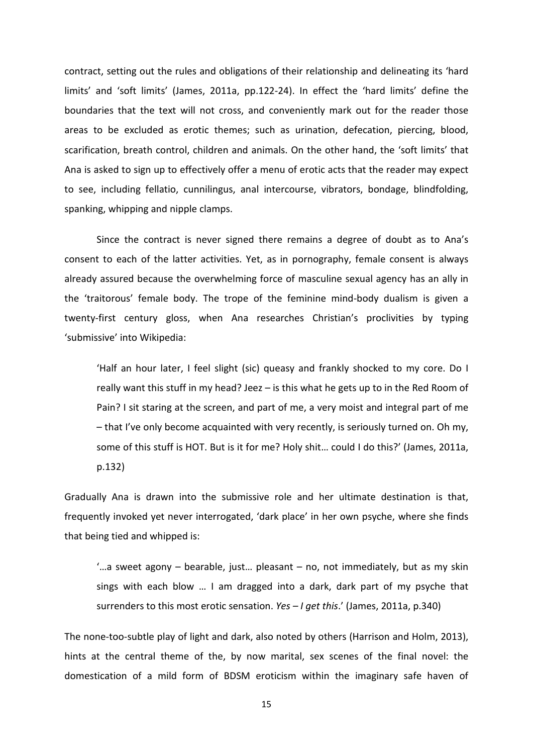contract, setting out the rules and obligations of their relationship and delineating its 'hard limits' and 'soft limits' (James, 2011a, pp.122-24). In effect the 'hard limits' define the boundaries that the text will not cross, and conveniently mark out for the reader those areas to be excluded as erotic themes; such as urination, defecation, piercing, blood, scarification, breath control, children and animals. On the other hand, the 'soft limits' that Ana is asked to sign up to effectively offer a menu of erotic acts that the reader may expect to see, including fellatio, cunnilingus, anal intercourse, vibrators, bondage, blindfolding, spanking, whipping and nipple clamps.

Since the contract is never signed there remains a degree of doubt as to Ana's consent to each of the latter activities. Yet, as in pornography, female consent is always already assured because the overwhelming force of masculine sexual agency has an ally in the 'traitorous' female body. The trope of the feminine mind-body dualism is given a twenty-first century gloss, when Ana researches Christian's proclivities by typing 'submissive' into Wikipedia:

'Half an hour later, I feel slight (sic) queasy and frankly shocked to my core. Do I really want this stuff in my head? Jeez – is this what he gets up to in the Red Room of Pain? I sit staring at the screen, and part of me, a very moist and integral part of me – that I've only become acquainted with very recently, is seriously turned on. Oh my, some of this stuff is HOT. But is it for me? Holy shit… could I do this?' (James, 2011a, p.132)

Gradually Ana is drawn into the submissive role and her ultimate destination is that, frequently invoked yet never interrogated, 'dark place' in her own psyche, where she finds that being tied and whipped is:

'…a sweet agony – bearable, just… pleasant – no, not immediately, but as my skin sings with each blow … I am dragged into a dark, dark part of my psyche that surrenders to this most erotic sensation. *Yes – I get this*.' (James, 2011a, p.340)

The none-too-subtle play of light and dark, also noted by others (Harrison and Holm, 2013), hints at the central theme of the, by now marital, sex scenes of the final novel: the domestication of a mild form of BDSM eroticism within the imaginary safe haven of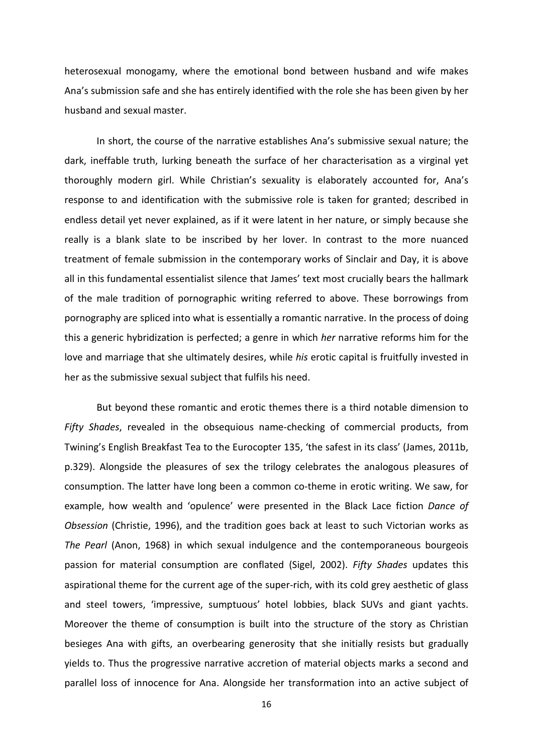heterosexual monogamy, where the emotional bond between husband and wife makes Ana's submission safe and she has entirely identified with the role she has been given by her husband and sexual master.

In short, the course of the narrative establishes Ana's submissive sexual nature; the dark, ineffable truth, lurking beneath the surface of her characterisation as a virginal yet thoroughly modern girl. While Christian's sexuality is elaborately accounted for, Ana's response to and identification with the submissive role is taken for granted; described in endless detail yet never explained, as if it were latent in her nature, or simply because she really is a blank slate to be inscribed by her lover. In contrast to the more nuanced treatment of female submission in the contemporary works of Sinclair and Day, it is above all in this fundamental essentialist silence that James' text most crucially bears the hallmark of the male tradition of pornographic writing referred to above. These borrowings from pornography are spliced into what is essentially a romantic narrative. In the process of doing this a generic hybridization is perfected; a genre in which *her* narrative reforms him for the love and marriage that she ultimately desires, while *his* erotic capital is fruitfully invested in her as the submissive sexual subject that fulfils his need.

But beyond these romantic and erotic themes there is a third notable dimension to *Fifty Shades*, revealed in the obsequious name-checking of commercial products, from Twining's English Breakfast Tea to the Eurocopter 135, 'the safest in its class' (James, 2011b, p.329). Alongside the pleasures of sex the trilogy celebrates the analogous pleasures of consumption. The latter have long been a common co-theme in erotic writing. We saw, for example, how wealth and 'opulence' were presented in the Black Lace fiction *Dance of Obsession* (Christie, 1996), and the tradition goes back at least to such Victorian works as *The Pearl* (Anon, 1968) in which sexual indulgence and the contemporaneous bourgeois passion for material consumption are conflated (Sigel, 2002). *Fifty Shades* updates this aspirational theme for the current age of the super-rich, with its cold grey aesthetic of glass and steel towers, 'impressive, sumptuous' hotel lobbies, black SUVs and giant yachts. Moreover the theme of consumption is built into the structure of the story as Christian besieges Ana with gifts, an overbearing generosity that she initially resists but gradually yields to. Thus the progressive narrative accretion of material objects marks a second and parallel loss of innocence for Ana. Alongside her transformation into an active subject of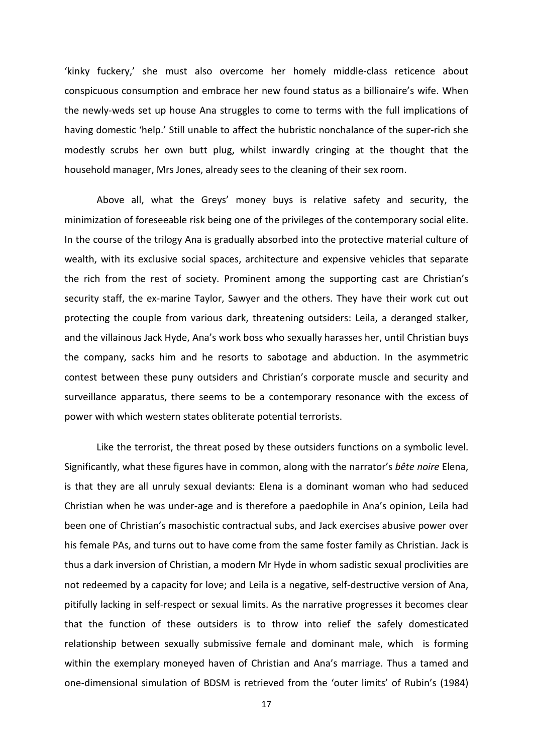'kinky fuckery,' she must also overcome her homely middle-class reticence about conspicuous consumption and embrace her new found status as a billionaire's wife. When the newly-weds set up house Ana struggles to come to terms with the full implications of having domestic 'help.' Still unable to affect the hubristic nonchalance of the super-rich she modestly scrubs her own butt plug, whilst inwardly cringing at the thought that the household manager, Mrs Jones, already sees to the cleaning of their sex room.

Above all, what the Greys' money buys is relative safety and security, the minimization of foreseeable risk being one of the privileges of the contemporary social elite. In the course of the trilogy Ana is gradually absorbed into the protective material culture of wealth, with its exclusive social spaces, architecture and expensive vehicles that separate the rich from the rest of society. Prominent among the supporting cast are Christian's security staff, the ex-marine Taylor, Sawyer and the others. They have their work cut out protecting the couple from various dark, threatening outsiders: Leila, a deranged stalker, and the villainous Jack Hyde, Ana's work boss who sexually harasses her, until Christian buys the company, sacks him and he resorts to sabotage and abduction. In the asymmetric contest between these puny outsiders and Christian's corporate muscle and security and surveillance apparatus, there seems to be a contemporary resonance with the excess of power with which western states obliterate potential terrorists.

Like the terrorist, the threat posed by these outsiders functions on a symbolic level. Significantly, what these figures have in common, along with the narrator's *bête noire* Elena, is that they are all unruly sexual deviants: Elena is a dominant woman who had seduced Christian when he was under-age and is therefore a paedophile in Ana's opinion, Leila had been one of Christian's masochistic contractual subs, and Jack exercises abusive power over his female PAs, and turns out to have come from the same foster family as Christian. Jack is thus a dark inversion of Christian, a modern Mr Hyde in whom sadistic sexual proclivities are not redeemed by a capacity for love; and Leila is a negative, self-destructive version of Ana, pitifully lacking in self-respect or sexual limits. As the narrative progresses it becomes clear that the function of these outsiders is to throw into relief the safely domesticated relationship between sexually submissive female and dominant male, which is forming within the exemplary moneyed haven of Christian and Ana's marriage. Thus a tamed and one-dimensional simulation of BDSM is retrieved from the 'outer limits' of Rubin's (1984)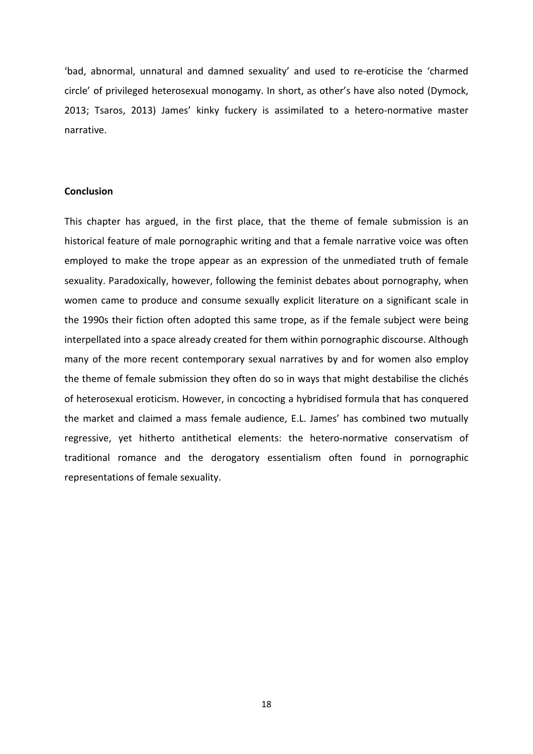'bad, abnormal, unnatural and damned sexuality' and used to re-eroticise the 'charmed circle' of privileged heterosexual monogamy. In short, as other's have also noted (Dymock, 2013; Tsaros, 2013) James' kinky fuckery is assimilated to a hetero-normative master narrative.

# **Conclusion**

This chapter has argued, in the first place, that the theme of female submission is an historical feature of male pornographic writing and that a female narrative voice was often employed to make the trope appear as an expression of the unmediated truth of female sexuality. Paradoxically, however, following the feminist debates about pornography, when women came to produce and consume sexually explicit literature on a significant scale in the 1990s their fiction often adopted this same trope, as if the female subject were being interpellated into a space already created for them within pornographic discourse. Although many of the more recent contemporary sexual narratives by and for women also employ the theme of female submission they often do so in ways that might destabilise the clichés of heterosexual eroticism. However, in concocting a hybridised formula that has conquered the market and claimed a mass female audience, E.L. James' has combined two mutually regressive, yet hitherto antithetical elements: the hetero-normative conservatism of traditional romance and the derogatory essentialism often found in pornographic representations of female sexuality.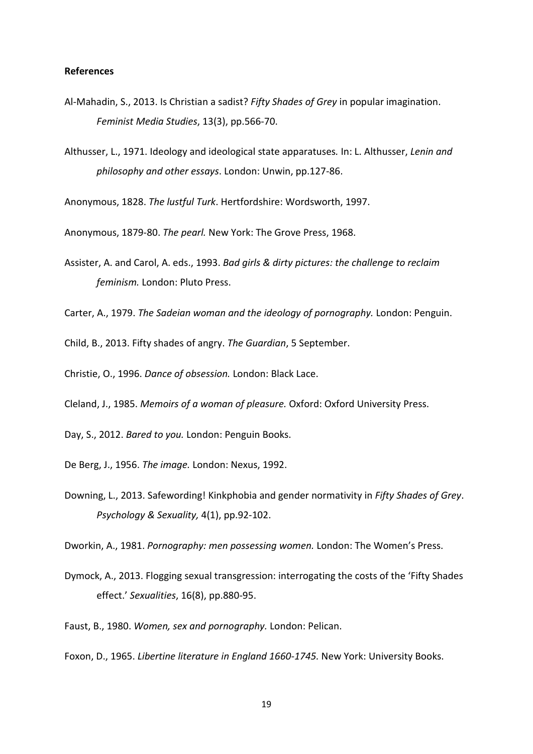# **References**

- Al-Mahadin, S., 2013. Is Christian a sadist? *Fifty Shades of Grey* in popular imagination. *Feminist Media Studies*, 13(3), pp.566-70.
- Althusser, L., 1971. Ideology and ideological state apparatuses*.* In: L. Althusser, *Lenin and philosophy and other essays*. London: Unwin, pp.127-86.

Anonymous, 1828. *The lustful Turk*. Hertfordshire: Wordsworth, 1997.

Anonymous, 1879-80. *The pearl.* New York: The Grove Press, 1968.

- Assister, A. and Carol, A. eds., 1993. *Bad girls & dirty pictures: the challenge to reclaim feminism.* London: Pluto Press.
- Carter, A., 1979. *The Sadeian woman and the ideology of pornography.* London: Penguin.

Child, B., 2013. Fifty shades of angry. *The Guardian*, 5 September.

Christie, O., 1996. *Dance of obsession.* London: Black Lace.

Cleland, J., 1985. *Memoirs of a woman of pleasure.* Oxford: Oxford University Press.

- Day, S., 2012. *Bared to you.* London: Penguin Books.
- De Berg, J., 1956. *The image.* London: Nexus, 1992.
- Downing, L., 2013. Safewording! Kinkphobia and gender normativity in *Fifty Shades of Grey*. *Psychology & Sexuality,* 4(1), pp.92-102.

Dworkin, A., 1981. *Pornography: men possessing women.* London: The Women's Press.

- Dymock, A., 2013. Flogging sexual transgression: interrogating the costs of the 'Fifty Shades effect.' *Sexualities*, 16(8), pp.880-95.
- Faust, B., 1980. *Women, sex and pornography.* London: Pelican.

Foxon, D., 1965. *Libertine literature in England 1660-1745.* New York: University Books.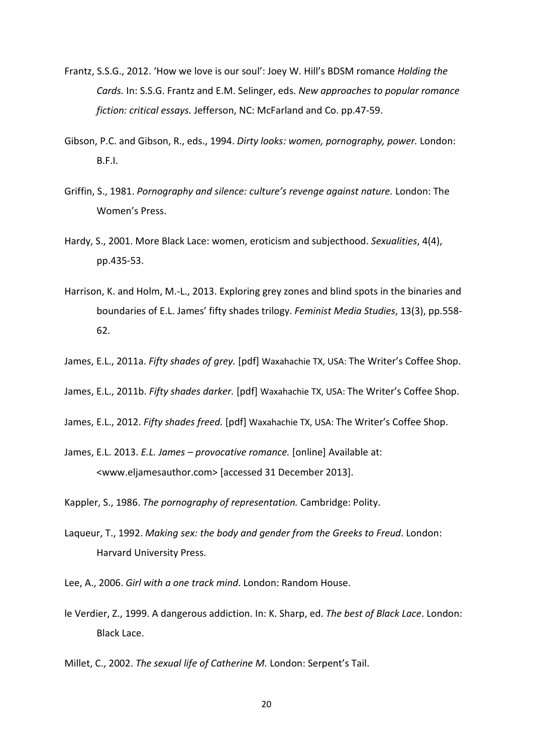- Frantz, S.S.G., 2012. 'How we love is our soul': Joey W. Hill's BDSM romance *Holding the Cards.* In: S.S.G. Frantz and E.M. Selinger, eds. *New approaches to popular romance fiction: critical essays.* Jefferson, NC: McFarland and Co. pp.47-59.
- Gibson, P.C. and Gibson, R., eds., 1994. *Dirty looks: women, pornography, power.* London: B.F.I.
- Griffin, S., 1981. *Pornography and silence: culture's revenge against nature.* London: The Women's Press.
- Hardy, S., 2001. More Black Lace: women, eroticism and subjecthood. *Sexualities*, 4(4), pp.435-53.
- Harrison, K. and Holm, M.-L., 2013. Exploring grey zones and blind spots in the binaries and boundaries of E.L. James' fifty shades trilogy. *Feminist Media Studies*, 13(3), pp.558- 62.
- James, E.L., 2011a. *Fifty shades of grey.* [pdf] Waxahachie TX, USA: The Writer's Coffee Shop.
- James, E.L., 2011b. *Fifty shades darker.* [pdf] Waxahachie TX, USA: The Writer's Coffee Shop.
- James, E.L., 2012. *Fifty shades freed.* [pdf] Waxahachie TX, USA: The Writer's Coffee Shop.
- James, E.L. 2013. *E.L. James – provocative romance.* [online] Available at: <www.eljamesauthor.com> [accessed 31 December 2013].

Kappler, S., 1986. *The pornography of representation.* Cambridge: Polity.

- Laqueur, T., 1992. *Making sex: the body and gender from the Greeks to Freud*. London: Harvard University Press.
- Lee, A., 2006. *Girl with a one track mind*. London: Random House.
- le Verdier, Z., 1999. A dangerous addiction. In: K. Sharp, ed. *The best of Black Lace*. London: Black Lace.

Millet, C., 2002. *The sexual life of Catherine M.* London: Serpent's Tail.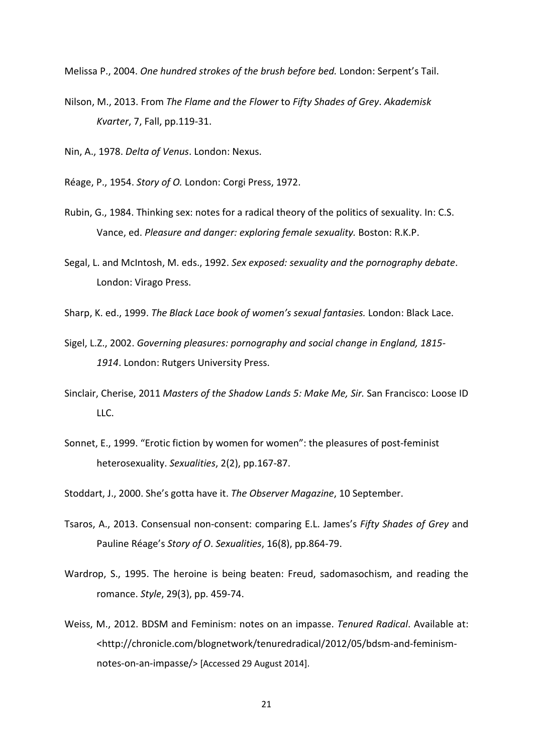Melissa P., 2004. *One hundred strokes of the brush before bed.* London: Serpent's Tail.

Nilson, M., 2013. From *The Flame and the Flower* to *Fifty Shades of Grey*. *Akademisk Kvarter*, 7, Fall, pp.119-31.

Nin, A., 1978. *Delta of Venus*. London: Nexus.

- Réage, P., 1954. *Story of O.* London: Corgi Press, 1972.
- Rubin, G., 1984. Thinking sex: notes for a radical theory of the politics of sexuality. In: C.S. Vance, ed. *Pleasure and danger: exploring female sexuality.* Boston: R.K.P.
- Segal, L. and McIntosh, M. eds., 1992. *Sex exposed: sexuality and the pornography debate*. London: Virago Press.
- Sharp, K. ed., 1999. *The Black Lace book of women's sexual fantasies.* London: Black Lace.
- Sigel, L.Z., 2002. *Governing pleasures: pornography and social change in England, 1815- 1914*. London: Rutgers University Press.
- Sinclair, Cherise, 2011 *Masters of the Shadow Lands 5: Make Me, Sir.* San Francisco: Loose ID LLC.
- Sonnet, E., 1999. "Erotic fiction by women for women": the pleasures of post-feminist heterosexuality. *Sexualities*, 2(2), pp.167-87.
- Stoddart, J., 2000. She's gotta have it. *The Observer Magazine*, 10 September.
- Tsaros, A., 2013. Consensual non-consent: comparing E.L. James's *Fifty Shades of Grey* and Pauline Réage's *Story of O*. *Sexualities*, 16(8), pp.864-79.
- Wardrop, S., 1995. The heroine is being beaten: Freud, sadomasochism, and reading the romance. *Style*, 29(3), pp. 459-74.
- Weiss, M., 2012. BDSM and Feminism: notes on an impasse. *Tenured Radical*. Available at: <http://chronicle.com/blognetwork/tenuredradical/2012/05/bdsm-and-feminismnotes-on-an-impasse/> [Accessed 29 August 2014].